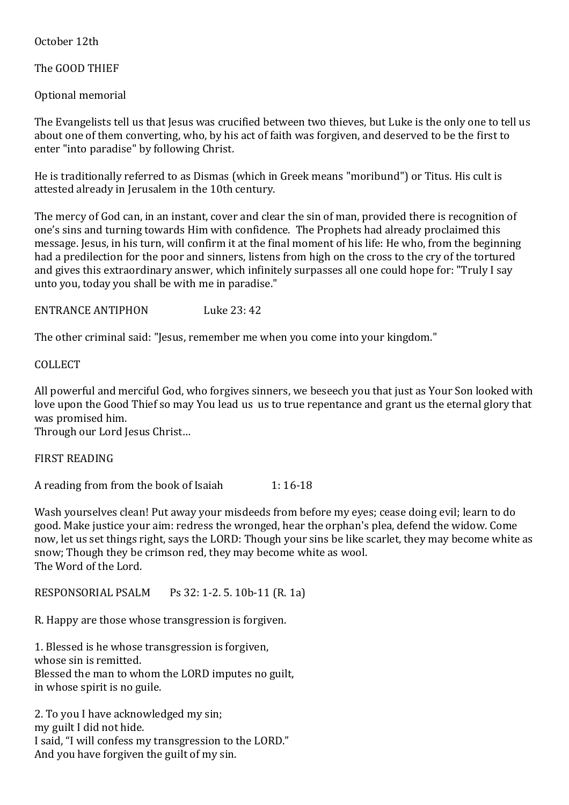October 12th

The GOOD THIEF

Optional memorial

The Evangelists tell us that Jesus was crucified between two thieves, but Luke is the only one to tell us about one of them converting, who, by his act of faith was forgiven, and deserved to be the first to enter "into paradise" by following Christ.

He is traditionally referred to as Dismas (which in Greek means "moribund") or Titus. His cult is attested already in Jerusalem in the 10th century.

The mercy of God can, in an instant, cover and clear the sin of man, provided there is recognition of one's sins and turning towards Him with confidence. The Prophets had already proclaimed this message. Jesus, in his turn, will confirm it at the final moment of his life: He who, from the beginning had a predilection for the poor and sinners, listens from high on the cross to the cry of the tortured and gives this extraordinary answer, which infinitely surpasses all one could hope for: "Truly I say unto you, today you shall be with me in paradise."

ENTRANCE ANTIPHON Luke 23: 42

The other criminal said: "Jesus, remember me when you come into your kingdom."

COLLECT

All powerful and merciful God, who forgives sinners, we beseech you that just as Your Son looked with love upon the Good Thief so may You lead us us to true repentance and grant us the eternal glory that was promised him.

Through our Lord Jesus Christ…

FIRST READING

A reading from from the book of Isaiah 1: 16-18

Wash yourselves clean! Put away your misdeeds from before my eyes; cease doing evil; learn to do good. Make justice your aim: redress the wronged, hear the orphan's plea, defend the widow. Come now, let us set things right, says the LORD: Though your sins be like scarlet, they may become white as snow; Though they be crimson red, they may become white as wool. The Word of the Lord.

RESPONSORIAL PSALM Ps 32: 1-2. 5. 10b-11 (R. 1a)

R. Happy are those whose transgression is forgiven.

1. Blessed is he whose transgression is forgiven, whose sin is remitted. Blessed the man to whom the LORD imputes no guilt, in whose spirit is no guile.

2. To you I have acknowledged my sin; my guilt I did not hide. I said, "I will confess my transgression to the LORD." And you have forgiven the guilt of my sin.